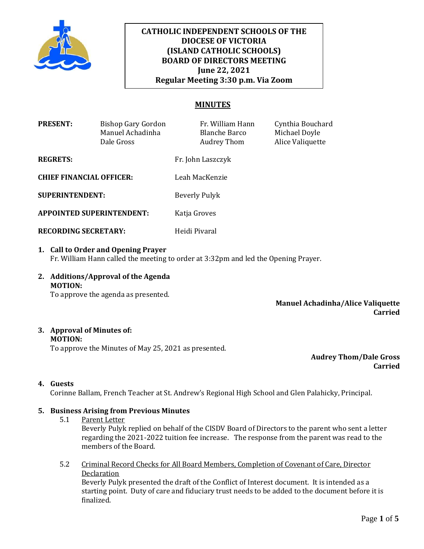

# **CATHOLIC INDEPENDENT SCHOOLS OF THE DIOCESE OF VICTORIA (ISLAND CATHOLIC SCHOOLS) BOARD OF DIRECTORS MEETING June 22, 2021 Regular Meeting 3:30 p.m. Via Zoom**

## **MINUTES**

| <b>PRESENT:</b>                  | Bishop Gary Gordon<br>Manuel Achadinha<br>Dale Gross | Fr. William Hann<br><b>Blanche Barco</b><br>Audrey Thom | Cynthia Bouchard<br>Michael Doyle<br>Alice Valiquette |
|----------------------------------|------------------------------------------------------|---------------------------------------------------------|-------------------------------------------------------|
| <b>REGRETS:</b>                  |                                                      | Fr. John Laszczyk                                       |                                                       |
| <b>CHIEF FINANCIAL OFFICER:</b>  |                                                      | Leah MacKenzie                                          |                                                       |
| <b>SUPERINTENDENT:</b>           |                                                      | Beverly Pulyk                                           |                                                       |
| <b>APPOINTED SUPERINTENDENT:</b> |                                                      | Katja Groves                                            |                                                       |
| <b>RECORDING SECRETARY:</b>      |                                                      | Heidi Pivaral                                           |                                                       |

- **1. Call to Order and Opening Prayer**  Fr. William Hann called the meeting to order at 3:32pm and led the Opening Prayer.
- **2. Additions/Approval of the Agenda MOTION:**

To approve the agenda as presented.

**Manuel Achadinha/Alice Valiquette Carried**

#### **3. Approval of Minutes of: MOTION:**

To approve the Minutes of May 25, 2021 as presented.

**Audrey Thom/Dale Gross Carried**

## **4. Guests**

Corinne Ballam, French Teacher at St. Andrew's Regional High School and Glen Palahicky, Principal.

## **5. Business Arising from Previous Minutes**

5.1 Parent Letter

Beverly Pulyk replied on behalf of the CISDV Board of Directors to the parent who sent a letter regarding the 2021-2022 tuition fee increase. The response from the parent was read to the members of the Board.

5.2 Criminal Record Checks for All Board Members, Completion of Covenant of Care, Director Declaration

Beverly Pulyk presented the draft of the Conflict of Interest document. It is intended as a starting point. Duty of care and fiduciary trust needs to be added to the document before it is finalized.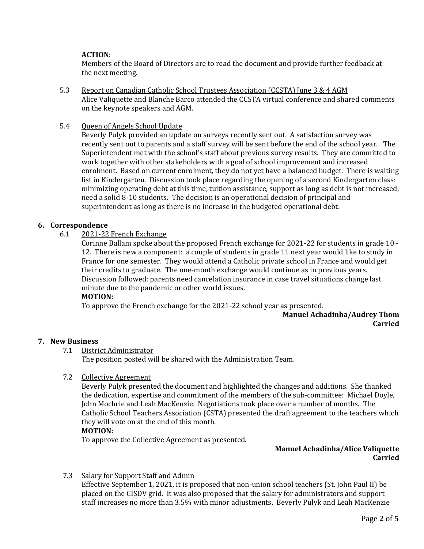## **ACTION**:

Members of the Board of Directors are to read the document and provide further feedback at the next meeting.

- 5.3 Report on Canadian Catholic School Trustees Association (CCSTA) June 3 & 4 AGM Alice Valiquette and Blanche Barco attended the CCSTA virtual conference and shared comments on the keynote speakers and AGM.
- 5.4 Queen of Angels School Update

Beverly Pulyk provided an update on surveys recently sent out. A satisfaction survey was recently sent out to parents and a staff survey will be sent before the end of the school year. The Superintendent met with the school's staff about previous survey results. They are committed to work together with other stakeholders with a goal of school improvement and increased enrolment. Based on current enrolment, they do not yet have a balanced budget. There is waiting list in Kindergarten. Discussion took place regarding the opening of a second Kindergarten class: minimizing operating debt at this time, tuition assistance, support as long as debt is not increased, need a solid 8-10 students. The decision is an operational decision of principal and superintendent as long as there is no increase in the budgeted operational debt.

### **6. Correspondence**

6.1 2021-22 French Exchange

Corinne Ballam spoke about the proposed French exchange for 2021-22 for students in grade 10 - 12. There is new a component: a couple of students in grade 11 next year would like to study in France for one semester. They would attend a Catholic private school in France and would get their credits to graduate. The one-month exchange would continue as in previous years. Discussion followed: parents need cancelation insurance in case travel situations change last minute due to the pandemic or other world issues.

#### **MOTION:**

To approve the French exchange for the 2021-22 school year as presented.

## **Manuel Achadinha/Audrey Thom Carried**

#### **7. New Business**

7.1 District Administrator

The position posted will be shared with the Administration Team.

7.2 Collective Agreement

Beverly Pulyk presented the document and highlighted the changes and additions. She thanked the dedication, expertise and commitment of the members of the sub-committee: Michael Doyle, John Mochrie and Leah MacKenzie. Negotiations took place over a number of months. The Catholic School Teachers Association (CSTA) presented the draft agreement to the teachers which they will vote on at the end of this month.

## **MOTION:**

To approve the Collective Agreement as presented.

## **Manuel Achadinha/Alice Valiquette Carried**

7.3 Salary for Support Staff and Admin

Effective September 1, 2021, it is proposed that non-union school teachers (St. John Paul II) be placed on the CISDV grid. It was also proposed that the salary for administrators and support staff increases no more than 3.5% with minor adjustments. Beverly Pulyk and Leah MacKenzie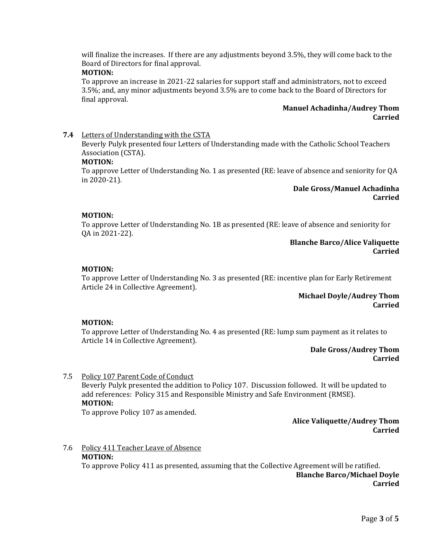will finalize the increases. If there are any adjustments beyond 3.5%, they will come back to the Board of Directors for final approval.

## **MOTION:**

To approve an increase in 2021-22 salaries for support staff and administrators, not to exceed 3.5%; and, any minor adjustments beyond 3.5% are to come back to the Board of Directors for final approval.

#### **Manuel Achadinha/Audrey Thom Carried**

#### **7.4** Letters of Understanding with the CSTA

Beverly Pulyk presented four Letters of Understanding made with the Catholic School Teachers Association (CSTA).

#### **MOTION:**

To approve Letter of Understanding No. 1 as presented (RE: leave of absence and seniority for QA in 2020-21).

> **Dale Gross/Manuel Achadinha Carried**

#### **MOTION:**

To approve Letter of Understanding No. 1B as presented (RE: leave of absence and seniority for QA in 2021-22).

#### **Blanche Barco/Alice Valiquette Carried**

### **MOTION:**

To approve Letter of Understanding No. 3 as presented (RE: incentive plan for Early Retirement Article 24 in Collective Agreement).

> **Michael Doyle/Audrey Thom Carried**

#### **MOTION:**

To approve Letter of Understanding No. 4 as presented (RE: lump sum payment as it relates to Article 14 in Collective Agreement).

> **Dale Gross/Audrey Thom Carried**

7.5 Policy 107 Parent Code of Conduct Beverly Pulyk presented the addition to Policy 107. Discussion followed. It will be updated to add references: Policy 315 and Responsible Ministry and Safe Environment (RMSE). **MOTION:**

To approve Policy 107 as amended.

**Alice Valiquette/Audrey Thom Carried**

# 7.6 Policy 411 Teacher Leave of Absence **MOTION:**

To approve Policy 411 as presented, assuming that the Collective Agreement will be ratified. **Blanche Barco/Michael Doyle**

**Carried**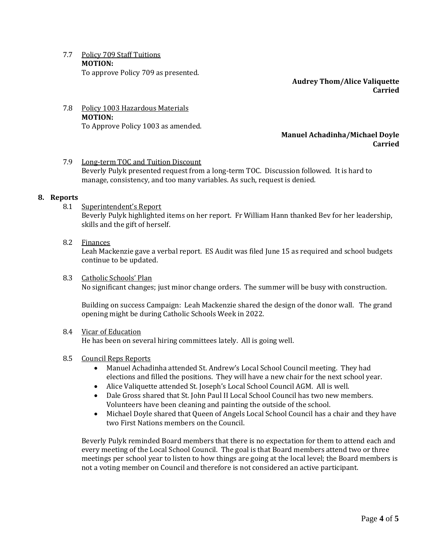7.7 Policy 709 Staff Tuitions **MOTION:** To approve Policy 709 as presented.

> **Audrey Thom/Alice Valiquette Carried**

#### 7.8 Policy 1003 Hazardous Materials **MOTION:** To Approve Policy 1003 as amended.

## **Manuel Achadinha/Michael Doyle Carried**

## 7.9 Long-term TOC and Tuition Discount Beverly Pulyk presented request from a long-term TOC. Discussion followed. It is hard to manage, consistency, and too many variables. As such, request is denied.

### **8. Reports**

8.1 Superintendent's Report

Beverly Pulyk highlighted items on her report. Fr William Hann thanked Bev for her leadership, skills and the gift of herself.

- 8.2 Finances Leah Mackenzie gave a verbal report. ES Audit was filed June 15 as required and school budgets continue to be updated.
- 8.3 Catholic Schools' Plan No significant changes; just minor change orders. The summer will be busy with construction.

Building on success Campaign: Leah Mackenzie shared the design of the donor wall. The grand opening might be during Catholic Schools Week in 2022.

## 8.4 Vicar of Education

He has been on several hiring committees lately. All is going well.

#### 8.5 Council Reps Reports

- Manuel Achadinha attended St. Andrew's Local School Council meeting. They had elections and filled the positions. They will have a new chair for the next school year.
- Alice Valiquette attended St. Joseph's Local School Council AGM. All is well.
- Dale Gross shared that St. John Paul II Local School Council has two new members. Volunteers have been cleaning and painting the outside of the school.
- Michael Doyle shared that Queen of Angels Local School Council has a chair and they have two First Nations members on the Council.

Beverly Pulyk reminded Board members that there is no expectation for them to attend each and every meeting of the Local School Council. The goal is that Board members attend two or three meetings per school year to listen to how things are going at the local level; the Board members is not a voting member on Council and therefore is not considered an active participant.